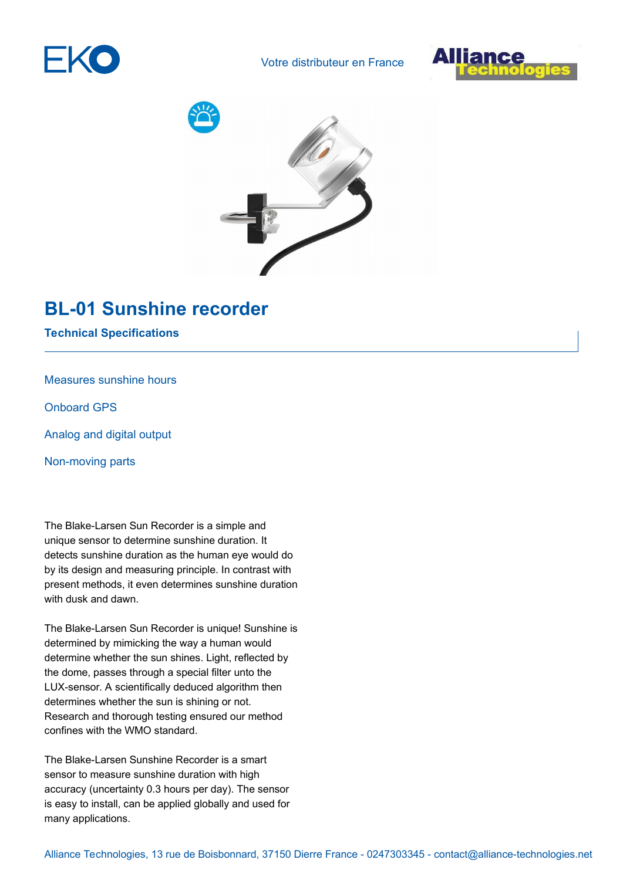

Votre distributeur en France







## **BL-01 Sunshine recorder**

**Technical Specifications**

Measures sunshine hours

Onboard GPS

Analog and digital output

Non-moving parts

The Blake-Larsen Sun Recorder is a simple and unique sensor to determine sunshine duration. It detects sunshine duration as the human eye would do by its design and measuring principle. In contrast with present methods, it even determines sunshine duration with dusk and dawn.

The Blake-Larsen Sun Recorder is unique! Sunshine is determined by mimicking the way a human would determine whether the sun shines. Light, reflected by the dome, passes through a special filter unto the LUX-sensor. A scientifically deduced algorithm then determines whether the sun is shining or not. Research and thorough testing ensured our method confines with the WMO standard.

The Blake-Larsen Sunshine Recorder is a smart sensor to measure sunshine duration with high accuracy (uncertainty 0.3 hours per day). The sensor is easy to install, can be applied globally and used for many applications.